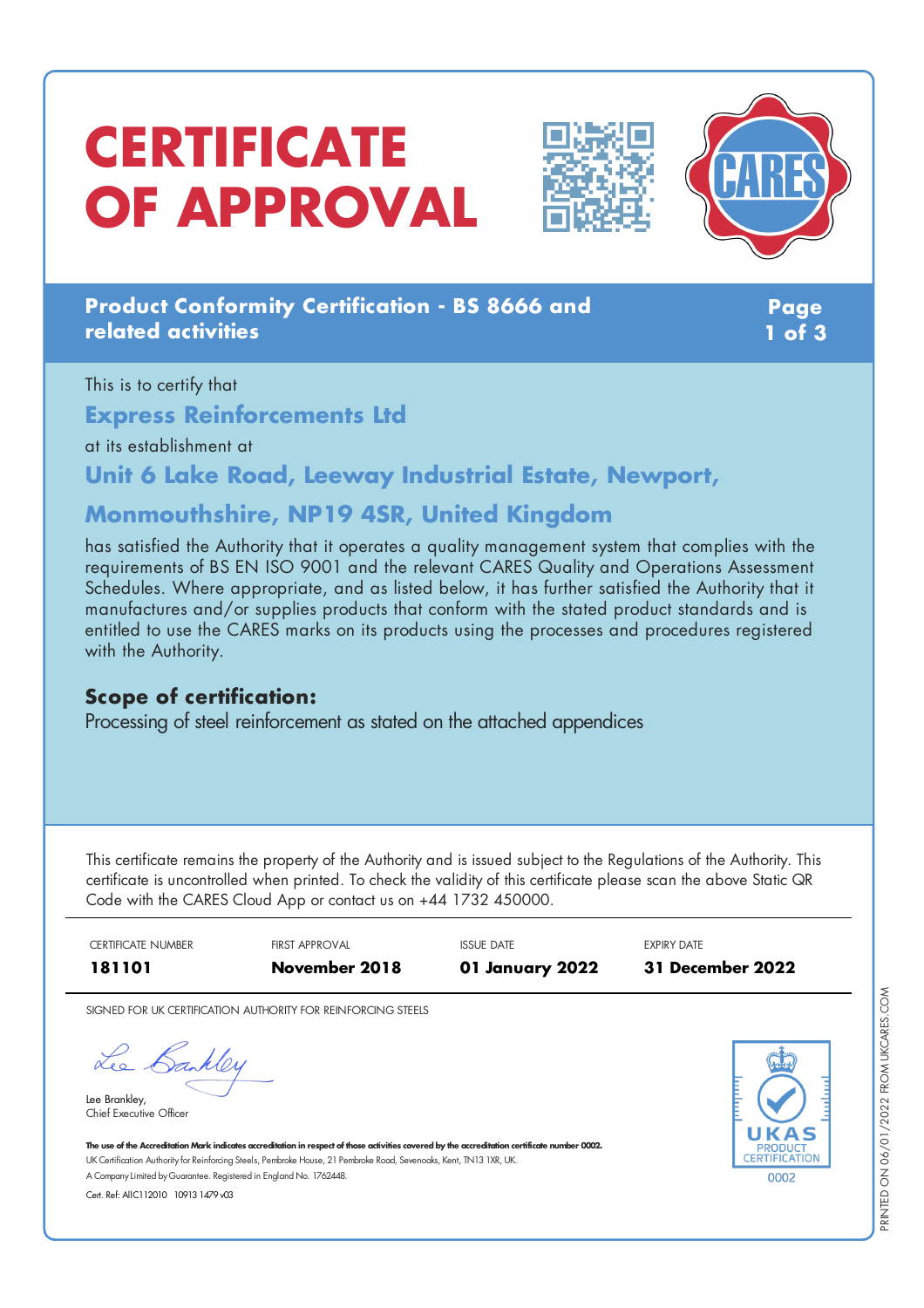# **CERTIFICATE OF APPROVAL**





### **Product Conformity Certification - BS 8666 and related activities**

**Page 1 of 3**

This is to certify that **Express Reinforcements Ltd** at its establishment at

**Unit 6 Lake Road, Leeway Industrial Estate, Newport,**

## **Monmouthshire, NP19 4SR, United Kingdom**

has satisfied the Authority that it operates a quality management system that complies with the requirements of BS EN ISO 9001 and the relevant CARES Quality and Operations Assessment Schedules. Where appropriate, and as listed below, it has further satisfied the Authority that it manufactures and/or supplies products that conform with the stated product standards and is entitled to use the CARES marks on its products using the processes and procedures registered with the Authority.

#### **Scope of certification:**

Processing of steel reinforcement as stated on the attached appendices

This certificate remains the property of the Authority and is issued subject to the Regulations of the Authority. This certificate is uncontrolled when printed. To check the validity of this certificate please scan the above Static QR Code with the CARES Cloud App or contact us on +44 1732 450000.



SIGNED FOR UK CERTIFICATION AUTHORITY FOR REINFORCING STEELS

Lee Bankley

Lee Brankley, Chief Executive Officer



The use of the Accreditation Mark indicates accreditation in respect of those activities covered by the accreditation certificate number 0002. UK Certification Authority for Reinforcing Steels, Pembroke House, 21 Pembroke Road, Sevenoaks, Kent, TN13 1XR, UK. A CompanyLimited byGuarantee. Registered in England No. 1762448.

Cert. Ref: AllC112010 10913 1479 v03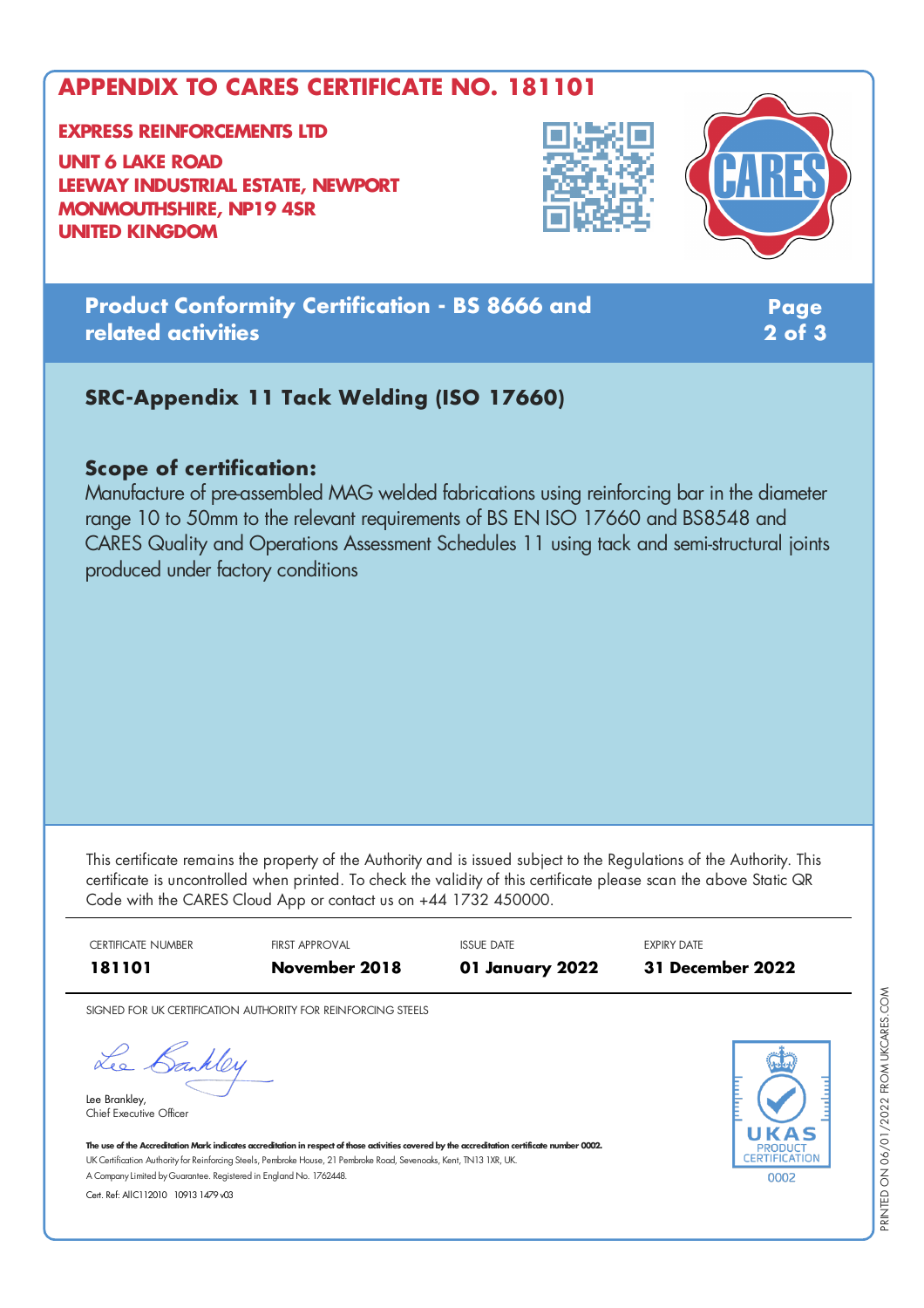## **APPENDIX TO CARES CERTIFICATE NO. 181101**

#### **EXPRESS REINFORCEMENTS LTD**

**UNIT 6 LAKE ROAD LEEWAY INDUSTRIAL ESTATE, NEWPORT MONMOUTHSHIRE, NP19 4SR UNITED KINGDOM**





## **Product Conformity Certification - BS 8666 and related activities**

**Page 2 of 3**

## **SRC-Appendix 11 Tack Welding (ISO 17660)**

#### **Scope of certification:**

Manufacture of pre-assembled MAG welded fabrications using reinforcing bar in the diameter range 10 to 50mm to the relevant requirements of BS EN ISO 17660 and BS8548 and CARES Quality and Operations Assessment Schedules 11 using tack and semi-structural joints produced under factory conditions

This certificate remains the property of the Authority and is issued subject to the Regulations of the Authority. This certificate is uncontrolled when printed. To check the validity of this certificate please scan the above Static QR Code with the CARES Cloud App or contact us on +44 1732 450000.



SIGNED FOR UK CERTIFICATION AUTHORITY FOR REINFORCING STEELS

Lee Bankley

Lee Brankley, Chief Executive Officer 0002

The use of the Accreditation Mark indicates accreditation in respect of those activities covered by the accreditation certificate number 0002. UK Certification Authority for Reinforcing Steels, Pembroke House, 21 Pembroke Road, Sevenoaks, Kent, TN13 1XR, UK. A CompanyLimited byGuarantee. Registered in England No. 1762448.

Cert. Ref: AllC112010 10913 1479 v03